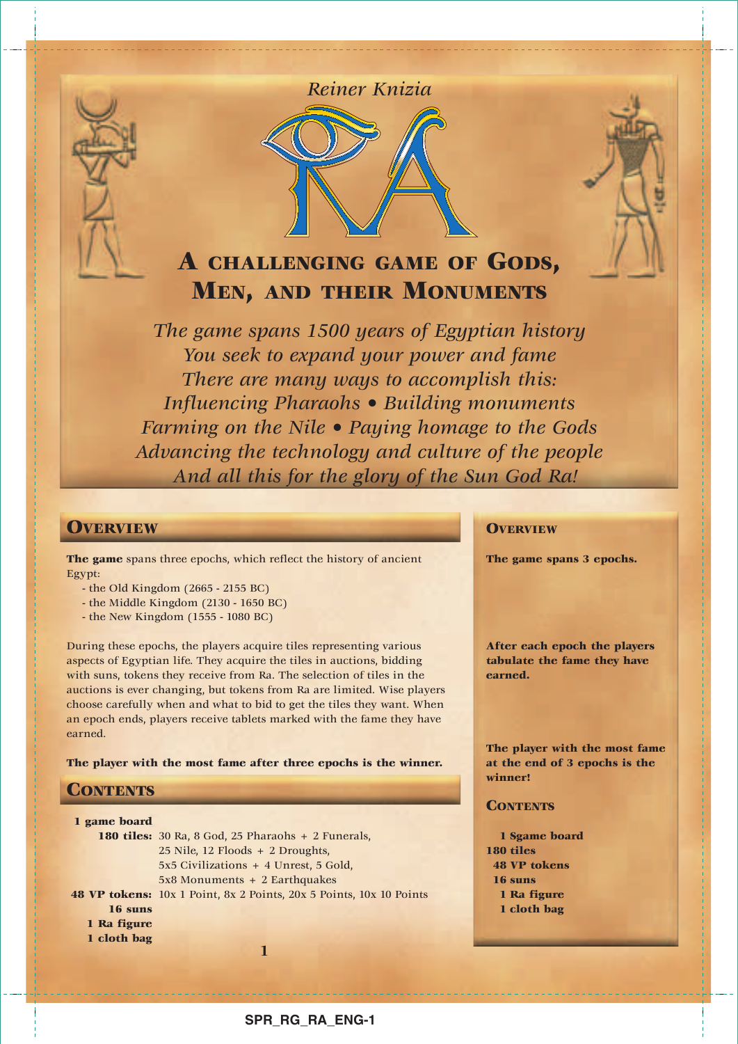

## *Reiner Knizia*



# **A CHALLENGING GAME OF GODS, MEN, AND THEIR MONUMENTS**

*The game spans 1500 years of Egyptian history You seek to expand your power and fame There are many ways to accomplish this: Influencing Pharaohs • Building monuments Farming on the Nile • Paying homage to the Gods Advancing the technology and culture of the people And all this for the glory of the Sun God Ra!*

## **OVERVIEW**

**The game** spans three epochs, which reflect the history of ancient Egypt:

- the Old Kingdom (2665 2155 BC)
- the Middle Kingdom (2130 1650 BC)
- the New Kingdom (1555 1080 BC)

During these epochs, the players acquire tiles representing various aspects of Egyptian life. They acquire the tiles in auctions, bidding with suns, tokens they receive from Ra. The selection of tiles in the auctions is ever changing, but tokens from Ra are limited. Wise players choose carefully when and what to bid to get the tiles they want. When an epoch ends, players receive tablets marked with the fame they have earned.

**The player with the most fame after three epochs is the winner.**

## **CONTENTS**

| 1 game board                                       |                                                                     |  |  |  |  |
|----------------------------------------------------|---------------------------------------------------------------------|--|--|--|--|
| 180 tiles: 30 Ra, 8 God, 25 Pharaohs + 2 Funerals, |                                                                     |  |  |  |  |
| $25$ Nile, 12 Floods + 2 Droughts,                 |                                                                     |  |  |  |  |
|                                                    | 5x5 Civilizations + 4 Unrest, 5 Gold,                               |  |  |  |  |
|                                                    | $5x8$ Monuments + 2 Earthquakes                                     |  |  |  |  |
|                                                    | 48 VP tokens: 10x 1 Point, 8x 2 Points, 20x 5 Points, 10x 10 Points |  |  |  |  |
| 16 suns                                            |                                                                     |  |  |  |  |
| 1 Ra figure                                        |                                                                     |  |  |  |  |
| 1 cloth bag                                        |                                                                     |  |  |  |  |
|                                                    |                                                                     |  |  |  |  |

## **OVERVIEW**

**The game spans 3 epochs.**

**After each epoch the players tabulate the fame they have earned.**

**The player with the most fame at the end of 3 epochs is the winner!**

## **CONTENTS**

**1 Sgame board 180 tiles 48 VP tokens 16 suns 1 Ra figure 1 cloth bag**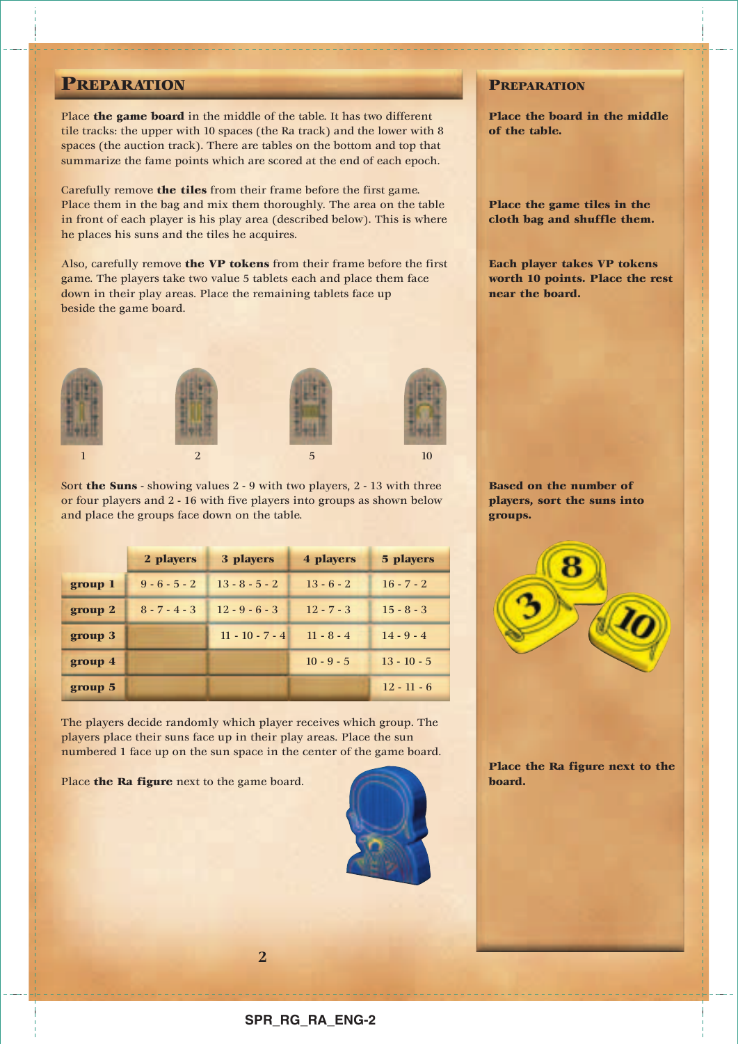## **PREPARATION**

Place **the game board** in the middle of the table. It has two different tile tracks: the upper with 10 spaces (the Ra track) and the lower with 8 spaces (the auction track). There are tables on the bottom and top that summarize the fame points which are scored at the end of each epoch.

Carefully remove **the tiles** from their frame before the first game. Place them in the bag and mix them thoroughly. The area on the table in front of each player is his play area (described below). This is where he places his suns and the tiles he acquires.

Also, carefully remove **the VP tokens** from their frame before the first game. The players take two value 5 tablets each and place them face down in their play areas. Place the remaining tablets face up beside the game board.



Sort **the Suns** - showing values 2 - 9 with two players, 2 - 13 with three or four players and 2 - 16 with five players into groups as shown below and place the groups face down on the table.

|         | 2 players       | 3 players         | 4 players    | 5 players     |
|---------|-----------------|-------------------|--------------|---------------|
| group 1 | $9 - 6 - 5 - 2$ | $13 - 8 - 5 - 2$  | $13 - 6 - 2$ | $16 - 7 - 2$  |
| group 2 | $8 - 7 - 4 - 3$ | $12 - 9 - 6 - 3$  | $12 - 7 - 3$ | $15 - 8 - 3$  |
| group 3 |                 | $11 - 10 - 7 - 4$ | $11 - 8 - 4$ | $14 - 9 - 4$  |
| group 4 |                 |                   | $10 - 9 - 5$ | $13 - 10 - 5$ |
| group 5 |                 |                   |              | $12 - 11 - 6$ |

The players decide randomly which player receives which group. The players place their suns face up in their play areas. Place the sun numbered 1 face up on the sun space in the center of the game board.

**2**

Place **the Ra figure** next to the game board.



## **PREPARATION**

**Place the board in the middle of the table.**

**Place the game tiles in the cloth bag and shuffle them.**

**Each player takes VP tokens worth 10 points. Place the rest near the board.**

**Based on the number of players, sort the suns into groups.**



**Place the Ra figure next to the board.**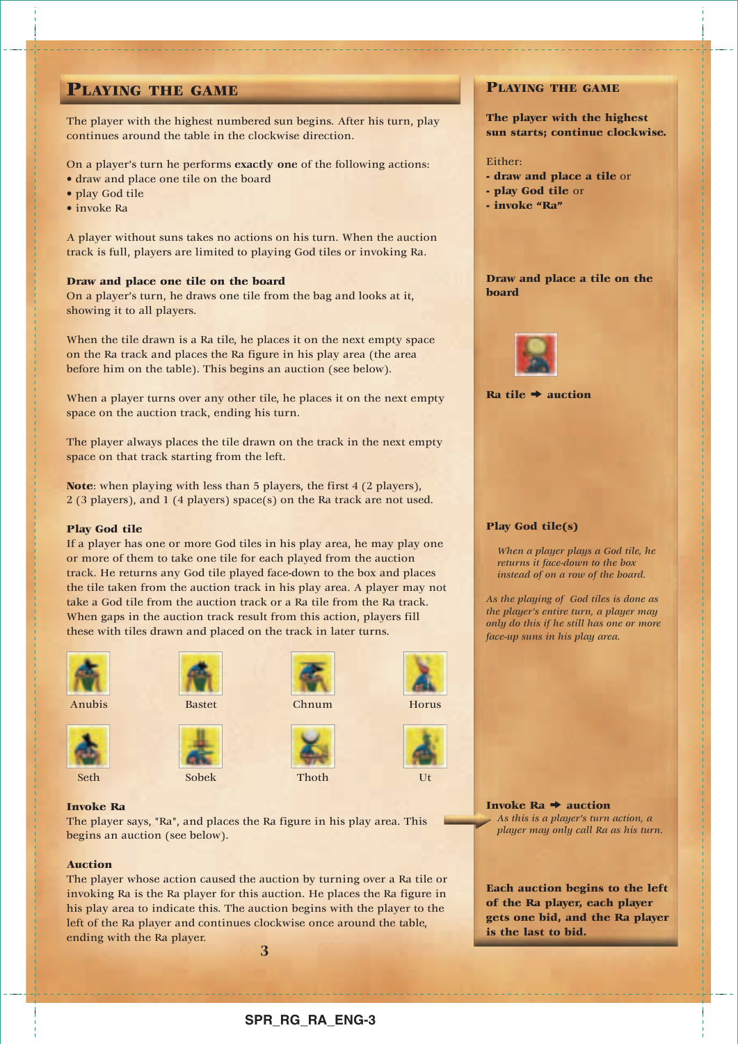## **PLAYING THE GAME**

The player with the highest numbered sun begins. After his turn, play continues around the table in the clockwise direction.

On a player's turn he performs **exactly one** of the following actions:

- draw and place one tile on the board
- play God tile
- invoke Ra

A player without suns takes no actions on his turn. When the auction track is full, players are limited to playing God tiles or invoking Ra.

## **Draw and place one tile on the board**

On a player's turn, he draws one tile from the bag and looks at it, showing it to all players.

When the tile drawn is a Ra tile, he places it on the next empty space on the Ra track and places the Ra figure in his play area (the area before him on the table). This begins an auction (see below).

When a player turns over any other tile, he places it on the next empty space on the auction track, ending his turn.

The player always places the tile drawn on the track in the next empty space on that track starting from the left.

**Note**: when playing with less than 5 players, the first 4 (2 players), 2 (3 players), and 1 (4 players) space(s) on the Ra track are not used.

## **Play God tile**

If a player has one or more God tiles in his play area, he may play one or more of them to take one tile for each played from the auction track. He returns any God tile played face-down to the box and places the tile taken from the auction track in his play area. A player may not take a God tile from the auction track or a Ra tile from the Ra track. When gaps in the auction track result from this action, players fill these with tiles drawn and placed on the track in later turns.









Anubis Bastet Chnum Horus











### **Invoke Ra**

The player says, "Ra", and places the Ra figure in his play area. This begins an auction (see below).

### **Auction**

The player whose action caused the auction by turning over a Ra tile or invoking Ra is the Ra player for this auction. He places the Ra figure in his play area to indicate this. The auction begins with the player to the left of the Ra player and continues clockwise once around the table, ending with the Ra player.

## **PLAYING THE GAME**

**The player with the highest sun starts; continue clockwise.**

#### Either:

--------------------------------

- **draw and place a tile** or
- **play God tile** or
- **invoke "Ra"**

## **Draw and place a tile on the board**



 $Ra$  tile  $\rightarrow$  auction

## **Play God tile(s)**

*When a player plays a God tile, he returns it face-down to the box instead of on a row of the board.*

*As the playing of God tiles is done as the player's entire turn, a player may only do this if he still has one or more face-up suns in his play area.*

**Invoke Ra**  $\rightarrow$  **auction** *As this is a player's turn action, a player may only call Ra as his turn.*

**Each auction begins to the left of the Ra player, each player gets one bid, and the Ra player is the last to bid.**

**3**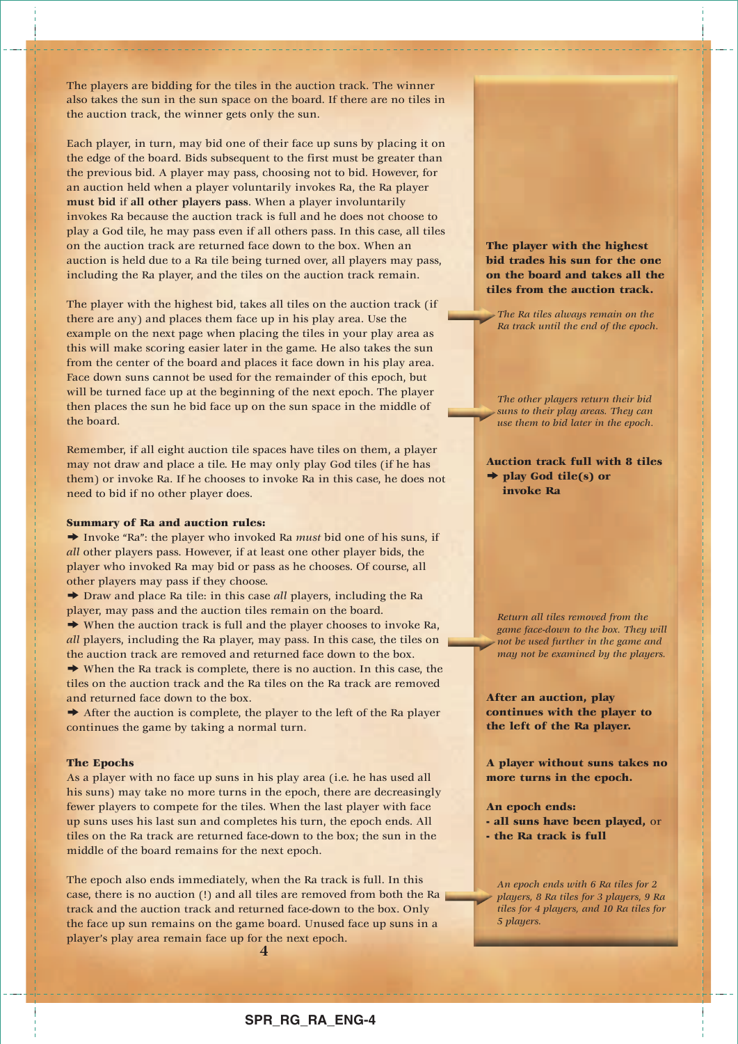The players are bidding for the tiles in the auction track. The winner also takes the sun in the sun space on the board. If there are no tiles in the auction track, the winner gets only the sun.

Each player, in turn, may bid one of their face up suns by placing it on the edge of the board. Bids subsequent to the first must be greater than the previous bid. A player may pass, choosing not to bid. However, for an auction held when a player voluntarily invokes Ra, the Ra player **must bid** if **all other players pass**. When a player involuntarily invokes Ra because the auction track is full and he does not choose to play a God tile, he may pass even if all others pass. In this case, all tiles on the auction track are returned face down to the box. When an auction is held due to a Ra tile being turned over, all players may pass, including the Ra player, and the tiles on the auction track remain.

The player with the highest bid, takes all tiles on the auction track (if there are any) and places them face up in his play area. Use the example on the next page when placing the tiles in your play area as this will make scoring easier later in the game. He also takes the sun from the center of the board and places it face down in his play area. Face down suns cannot be used for the remainder of this epoch, but will be turned face up at the beginning of the next epoch. The player then places the sun he bid face up on the sun space in the middle of the board.

Remember, if all eight auction tile spaces have tiles on them, a player may not draw and place a tile. He may only play God tiles (if he has them) or invoke Ra. If he chooses to invoke Ra in this case, he does not need to bid if no other player does.

### **Summary of Ra and auction rules:**

→ Invoke "Ra": the player who invoked Ra *must* bid one of his suns, if *all* other players pass. However, if at least one other player bids, the player who invoked Ra may bid or pass as he chooses. Of course, all other players may pass if they choose.

◆ Draw and place Ra tile: in this case *all* players, including the Ra player, may pass and the auction tiles remain on the board.

 $\rightarrow$  When the auction track is full and the player chooses to invoke Ra, *all* players, including the Ra player, may pass. In this case, the tiles on the auction track are removed and returned face down to the box.

 $\rightarrow$  When the Ra track is complete, there is no auction. In this case, the tiles on the auction track and the Ra tiles on the Ra track are removed and returned face down to the box.

 $\rightarrow$  After the auction is complete, the player to the left of the Ra player continues the game by taking a normal turn.

#### **The Epochs**

As a player with no face up suns in his play area (i.e. he has used all his suns) may take no more turns in the epoch, there are decreasingly fewer players to compete for the tiles. When the last player with face up suns uses his last sun and completes his turn, the epoch ends. All tiles on the Ra track are returned face-down to the box; the sun in the middle of the board remains for the next epoch.

The epoch also ends immediately, when the Ra track is full. In this case, there is no auction (!) and all tiles are removed from both the Ra track and the auction track and returned face-down to the box. Only the face up sun remains on the game board. Unused face up suns in a player's play area remain face up for the next epoch.

**4**

**The player with the highest bid trades his sun for the one on the board and takes all the tiles from the auction track.**

*The Ra tiles always remain on the Ra track until the end of the epoch.*

*The other players return their bid suns to their play areas. They can use them to bid later in the epoch.*

## **Auction track full with 8 tiles** k **play God tile(s) or invoke Ra**

*Return all tiles removed from the game face-down to the box. They will not be used further in the game and may not be examined by the players.* 

**After an auction, play continues with the player to the left of the Ra player.**

**A player without suns takes no more turns in the epoch.**

**An epoch ends:**

**- all suns have been played,** or **- the Ra track is full**

*An epoch ends with 6 Ra tiles for 2 players, 8 Ra tiles for 3 players, 9 Ra tiles for 4 players, and 10 Ra tiles for 5 players.*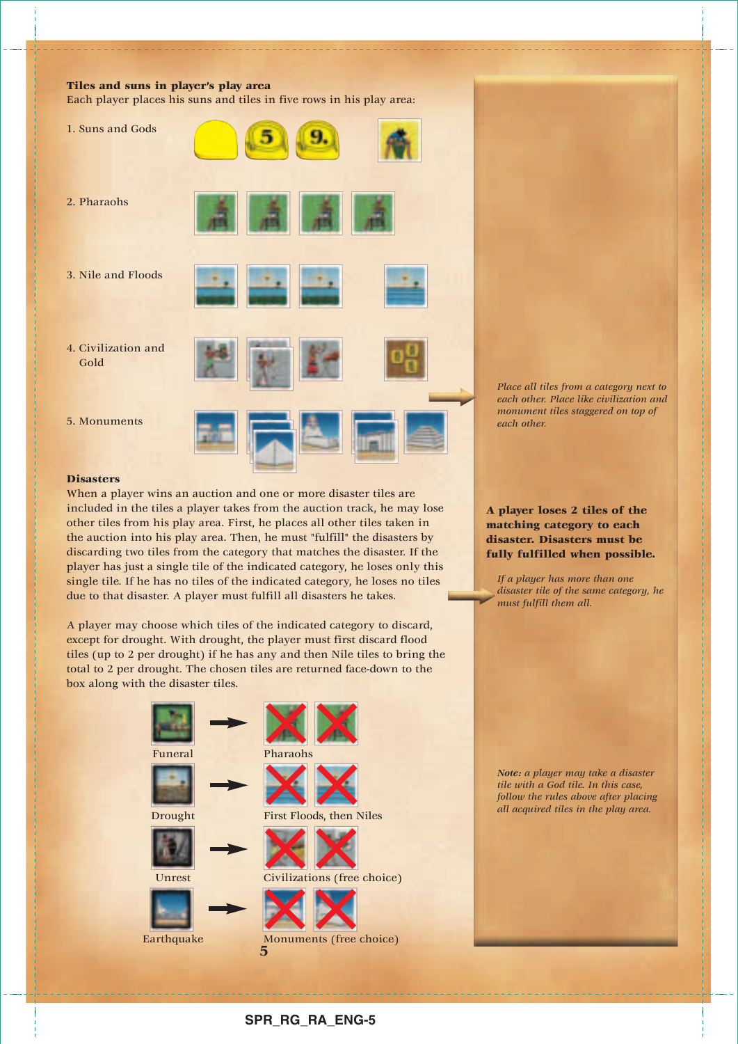## **Tiles and suns in player's play area**

Each player places his suns and tiles in five rows in his play area:



### **Disasters**

When a player wins an auction and one or more disaster tiles are included in the tiles a player takes from the auction track, he may lose other tiles from his play area. First, he places all other tiles taken in the auction into his play area. Then, he must "fulfill" the disasters by discarding two tiles from the category that matches the disaster. If the player has just a single tile of the indicated category, he loses only this single tile. If he has no tiles of the indicated category, he loses no tiles due to that disaster. A player must fulfill all disasters he takes.

A player may choose which tiles of the indicated category to discard, except for drought. With drought, the player must first discard flood tiles (up to 2 per drought) if he has any and then Nile tiles to bring the total to 2 per drought. The chosen tiles are returned face-down to the box along with the disaster tiles.



*Place all tiles from a category next to each other. Place like civilization and monument tiles staggered on top of each other.* 

**A player loses 2 tiles of the matching category to each disaster. Disasters must be fully fulfilled when possible.**

*If a player has more than one disaster tile of the same category, he must fulfill them all.*

*Note: a player may take a disaster tile with a God tile. In this case, follow the rules above after placing all acquired tiles in the play area.*

## **SPR\_RG\_RA\_ENG-5**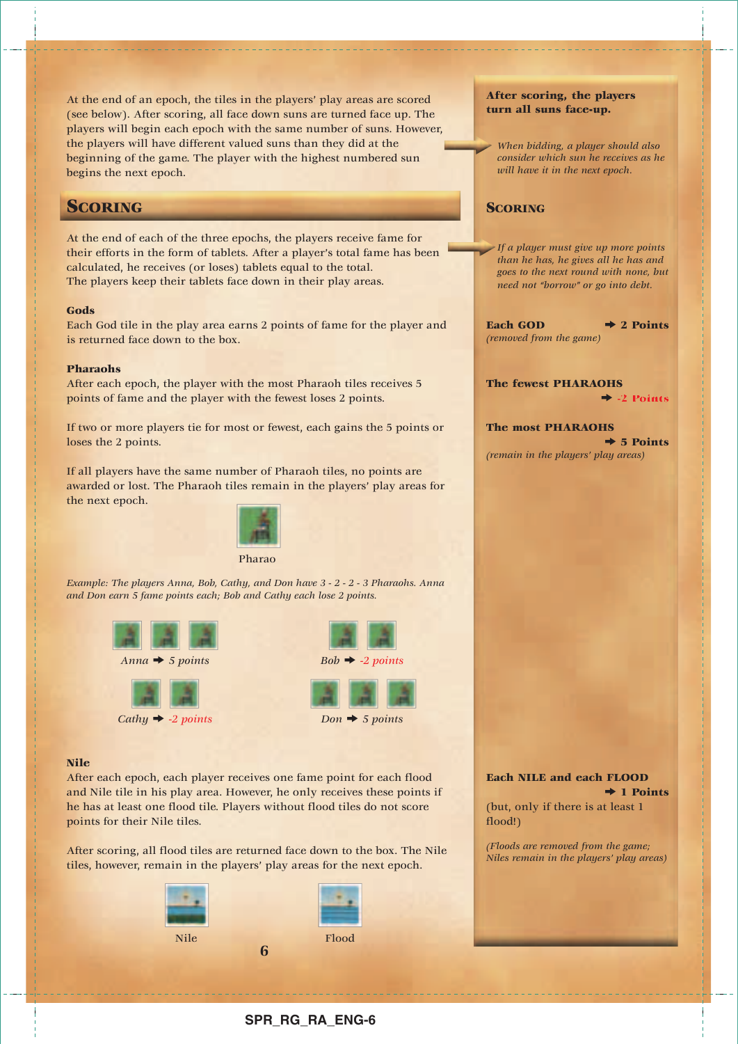At the end of an epoch, the tiles in the players' play areas are scored (see below). After scoring, all face down suns are turned face up. The players will begin each epoch with the same number of suns. However, the players will have different valued suns than they did at the beginning of the game. The player with the highest numbered sun begins the next epoch.

## **SCORING**

At the end of each of the three epochs, the players receive fame for their efforts in the form of tablets. After a player's total fame has been calculated, he receives (or loses) tablets equal to the total. The players keep their tablets face down in their play areas.

### **Gods**

Each God tile in the play area earns 2 points of fame for the player and is returned face down to the box.

### **Pharaohs**

After each epoch, the player with the most Pharaoh tiles receives 5 points of fame and the player with the fewest loses 2 points.

If two or more players tie for most or fewest, each gains the 5 points or loses the 2 points.

If all players have the same number of Pharaoh tiles, no points are awarded or lost. The Pharaoh tiles remain in the players' play areas for the next epoch.



*Example: The players Anna, Bob, Cathy, and Don have 3 - 2 - 2 - 3 Pharaohs. Anna and Don earn 5 fame points each; Bob and Cathy each lose 2 points.* 





## **Nile**

After each epoch, each player receives one fame point for each flood and Nile tile in his play area. However, he only receives these points if he has at least one flood tile. Players without flood tiles do not score points for their Nile tiles.

After scoring, all flood tiles are returned face down to the box. The Nile tiles, however, remain in the players' play areas for the next epoch.



### **After scoring, the players turn all suns face-up.**

*When bidding, a player should also consider which sun he receives as he will have it in the next epoch.*

## **SCORING**

*If a player must give up more points than he has, he gives all he has and goes to the next round with none, but need not "borrow" or go into debt.*

Each GOD  $\rightarrow$  2 Points *(removed from the game)*

**The fewest PHARAOHS**  $\div$  -2 Points

**The most PHARAOHS**  $\div$  5 Points *(remain in the players' play areas)*

**Each NILE and each FLOOD**  $\rightarrow$  1 Points

(but, only if there is at least 1 flood!)

*(Floods are removed from the game; Niles remain in the players' play areas)*

## **SPR\_RG\_RA\_ENG-6**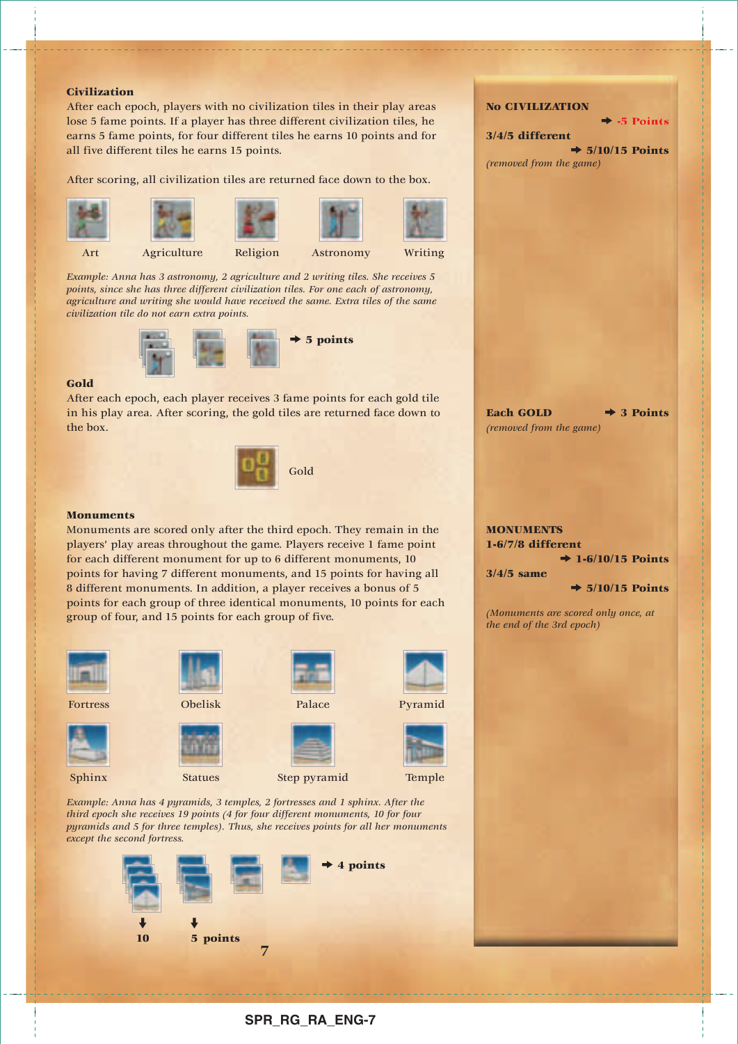#### **Civilization**

After each epoch, players with no civilization tiles in their play areas lose 5 fame points. If a player has three different civilization tiles, he earns 5 fame points, for four different tiles he earns 10 points and for all five different tiles he earns 15 points.

After scoring, all civilization tiles are returned face down to the box.

















*Example: Anna has 3 astronomy, 2 agriculture and 2 writing tiles. She receives 5 points, since she has three different civilization tiles. For one each of astronomy, agriculture and writing she would have received the same. Extra tiles of the same civilization tile do not earn extra points.* 



## **Gold**

After each epoch, each player receives 3 fame points for each gold tile in his play area. After scoring, the gold tiles are returned face down to the box.



#### **Monuments**

Monuments are scored only after the third epoch. They remain in the players' play areas throughout the game. Players receive 1 fame point for each different monument for up to 6 different monuments, 10 points for having 7 different monuments, and 15 points for having all 8 different monuments. In addition, a player receives a bonus of 5 points for each group of three identical monuments, 10 points for each group of four, and 15 points for each group of five.



*Example: Anna has 4 pyramids, 3 temples, 2 fortresses and 1 sphinx. After the third epoch she receives 19 points (4 for four different monuments, 10 for four pyramids and 5 for three temples). Thus, she receives points for all her monuments except the second fortress.*



**No CIVILIZATION**

**3/4/5 different**  $\div$  5/10/15 Points *(removed from the game)*

k **-5 Points**

Each GOLD  $\rightarrow$  3 Points *(removed from the game)*

## **MONUMENTS 1-6/7/8 different**  $\rightarrow$  1-6/10/15 Points

**3/4/5 same**

 $\rightarrow$  5/10/15 Points

*(Monuments are scored only once, at the end of the 3rd epoch)*

- - - - - - - - - - - - - - - - - - -